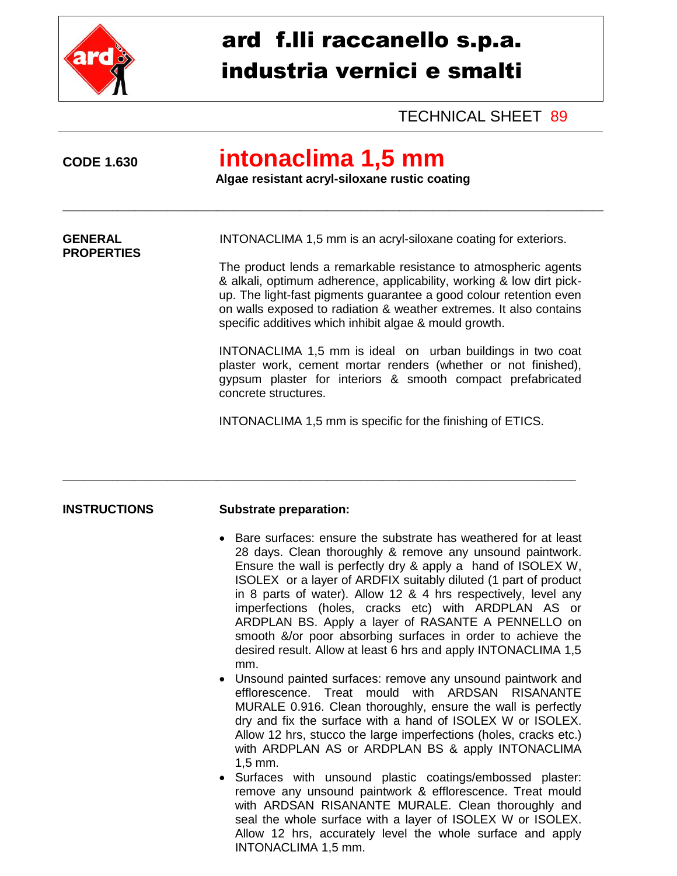

# ard f.lli raccanello s.p.a. industria vernici e smalti

### TECHNICAL SHEET 89

**PROPERTIES**

## **CODE 1.630 intonaclima 1,5 mm**

\_\_\_\_\_\_\_\_\_\_\_\_\_\_\_\_\_\_\_\_\_\_\_\_\_\_\_\_\_\_\_\_\_\_\_\_\_\_\_\_\_\_\_\_\_\_\_\_\_\_\_\_\_\_\_\_\_\_\_\_\_\_\_\_\_\_\_\_\_\_\_\_\_\_\_\_\_\_\_\_\_\_\_\_\_\_\_\_\_\_\_\_\_\_\_\_\_\_

 **Algae resistant acryl-siloxane rustic coating**

**GENERAL** INTONACLIMA 1,5 mm is an acryl-siloxane coating for exteriors.

The product lends a remarkable resistance to atmospheric agents & alkali, optimum adherence, applicability, working & low dirt pickup. The light-fast pigments guarantee a good colour retention even on walls exposed to radiation & weather extremes. It also contains specific additives which inhibit algae & mould growth.

INTONACLIMA 1,5 mm is ideal on urban buildings in two coat plaster work, cement mortar renders (whether or not finished), gypsum plaster for interiors & smooth compact prefabricated concrete structures.

INTONACLIMA 1,5 mm is specific for the finishing of ETICS.

#### **INSTRUCTIONS Substrate preparation:**

\_\_\_\_\_\_\_\_\_\_\_\_\_\_\_\_\_\_\_\_\_\_\_\_\_\_\_\_\_\_\_\_\_\_\_\_\_\_\_\_\_\_\_\_\_\_\_\_\_\_\_\_\_\_\_\_\_\_\_\_\_\_\_\_\_\_\_\_\_\_\_\_\_\_\_\_\_\_\_\_\_\_\_\_\_\_\_\_\_\_\_\_\_

- Bare surfaces: ensure the substrate has weathered for at least 28 days. Clean thoroughly & remove any unsound paintwork. Ensure the wall is perfectly dry & apply a hand of ISOLEX W, ISOLEX or a layer of ARDFIX suitably diluted (1 part of product in 8 parts of water). Allow 12 & 4 hrs respectively, level any imperfections (holes, cracks etc) with ARDPLAN AS or ARDPLAN BS. Apply a layer of RASANTE A PENNELLO on smooth &/or poor absorbing surfaces in order to achieve the desired result. Allow at least 6 hrs and apply INTONACLIMA 1,5 mm.
- Unsound painted surfaces: remove any unsound paintwork and efflorescence. Treat mould with ARDSAN RISANANTE MURALE 0.916. Clean thoroughly, ensure the wall is perfectly dry and fix the surface with a hand of ISOLEX W or ISOLEX. Allow 12 hrs, stucco the large imperfections (holes, cracks etc.) with ARDPLAN AS or ARDPLAN BS & apply INTONACLIMA 1,5 mm.
- Surfaces with unsound plastic coatings/embossed plaster: remove any unsound paintwork & efflorescence. Treat mould with ARDSAN RISANANTE MURALE. Clean thoroughly and seal the whole surface with a layer of ISOLEX W or ISOLEX. Allow 12 hrs, accurately level the whole surface and apply INTONACLIMA 1,5 mm.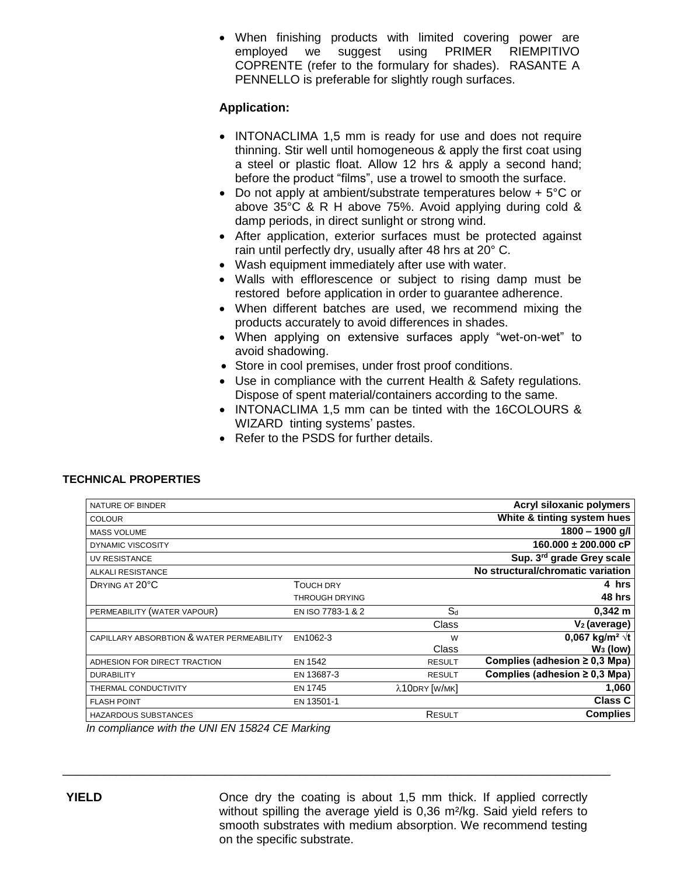When finishing products with limited covering power are employed we suggest using PRIMER RIEMPITIVO COPRENTE (refer to the formulary for shades). RASANTE A PENNELLO is preferable for slightly rough surfaces.

### **Application:**

- INTONACLIMA 1.5 mm is ready for use and does not require thinning. Stir well until homogeneous & apply the first coat using a steel or plastic float. Allow 12 hrs & apply a second hand; before the product "films", use a trowel to smooth the surface.
- Do not apply at ambient/substrate temperatures below + 5°C or above 35°C & R H above 75%. Avoid applying during cold & damp periods, in direct sunlight or strong wind.
- After application, exterior surfaces must be protected against rain until perfectly dry, usually after 48 hrs at 20° C.
- Wash equipment immediately after use with water.
- Walls with efflorescence or subject to rising damp must be restored before application in order to guarantee adherence.
- When different batches are used, we recommend mixing the products accurately to avoid differences in shades.
- When applying on extensive surfaces apply "wet-on-wet" to avoid shadowing.
- Store in cool premises, under frost proof conditions.
- Use in compliance with the current Health & Safety regulations. Dispose of spent material/containers according to the same.
- INTONACLIMA 1,5 mm can be tinted with the 16COLOURS & WIZARD tinting systems' pastes.
- Refer to the PSDS for further details.

#### **TECHNICAL PROPERTIES**

| NATURE OF BINDER                          |                       |               | Acryl siloxanic polymers           |
|-------------------------------------------|-----------------------|---------------|------------------------------------|
| <b>COLOUR</b>                             |                       |               | White & tinting system hues        |
| <b>MASS VOLUME</b>                        |                       |               | $1800 - 1900$ g/l                  |
| <b>DYNAMIC VISCOSITY</b>                  |                       |               | $160.000 \pm 200.000$ cP           |
| UV RESISTANCE                             |                       |               | Sup. 3rd grade Grey scale          |
| ALKALI RESISTANCE                         |                       |               | No structural/chromatic variation  |
| DRYING AT 20°C                            | <b>TOUCH DRY</b>      |               | 4 hrs                              |
|                                           | <b>THROUGH DRYING</b> |               | 48 hrs                             |
| PERMEABILITY (WATER VAPOUR)               | EN ISO 7783-1 & 2     | $S_d$         | $0,342 \; m$                       |
|                                           |                       | Class         | $V_2$ (average)                    |
| CAPILLARY ABSORBTION & WATER PERMEABILITY | EN1062-3              | W             | 0,067 kg/m <sup>2</sup> $\sqrt{t}$ |
|                                           |                       | Class         | $W_3$ (low)                        |
| ADHESION FOR DIRECT TRACTION              | <b>EN 1542</b>        | <b>RESULT</b> | Complies (adhesion $\geq$ 0,3 Mpa) |
| <b>DURABILITY</b>                         | EN 13687-3            | <b>RESULT</b> | Complies (adhesion $\geq$ 0,3 Mpa) |
| THERMAL CONDUCTIVITY                      | <b>EN 1745</b>        | λ10DRY [W/MK] | 1,060                              |
| <b>FLASH POINT</b>                        | EN 13501-1            |               | <b>Class C</b>                     |
| <b>HAZARDOUS SUBSTANCES</b>               |                       | RESULT        | <b>Complies</b>                    |
|                                           |                       |               |                                    |

\_\_\_\_\_\_\_\_\_\_\_\_\_\_\_\_\_\_\_\_\_\_\_\_\_\_\_\_\_\_\_\_\_\_\_\_\_\_\_\_\_\_\_\_\_\_\_\_\_\_\_\_\_\_\_\_\_\_\_\_\_\_\_\_\_\_\_\_\_\_\_\_\_\_\_\_\_\_\_\_\_

*In compliance with the UNI EN 15824 CE Marking*

**YIELD** Once dry the coating is about 1,5 mm thick. If applied correctly without spilling the average yield is 0,36 m²/kg. Said yield refers to smooth substrates with medium absorption. We recommend testing on the specific substrate.